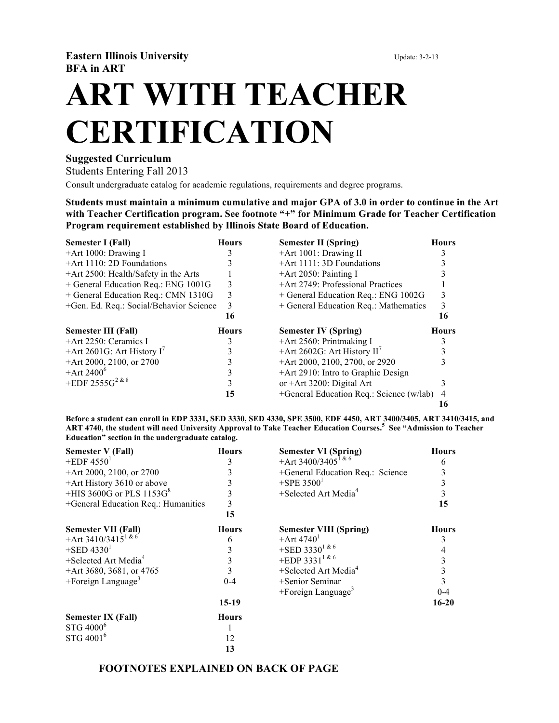**Eastern Illinois University** Update: 3-2-13 **BFA in ART**

**ART WITH TEACHER CERTIFICATION**

## **Suggested Curriculum**

Students Entering Fall 2013

Consult undergraduate catalog for academic regulations, requirements and degree programs.

**Students must maintain a minimum cumulative and major GPA of 3.0 in order to continue in the Art with Teacher Certification program. See footnote "+" for Minimum Grade for Teacher Certification Program requirement established by Illinois State Board of Education.**

| Semester I (Fall)                       | <b>Hours</b> | <b>Semester II (Spring)</b>              | <b>Hours</b> |
|-----------------------------------------|--------------|------------------------------------------|--------------|
| $+$ Art 1000: Drawing I                 |              | $+$ Art 1001: Drawing II                 |              |
| $+Art 1110: 2D$ Foundations             |              | $+$ Art 1111: 3D Foundations             |              |
| +Art 2500: Health/Safety in the Arts    |              | $+$ Art 2050: Painting I                 |              |
| + General Education Req.: ENG 1001G     | 3            | +Art 2749: Professional Practices        |              |
| + General Education Req.: CMN 1310G     | 3            | + General Education Req.: ENG 1002G      | 3            |
| +Gen. Ed. Req.: Social/Behavior Science | 3            | + General Education Req.: Mathematics    | 3            |
|                                         | 16           |                                          | 16           |
|                                         |              |                                          |              |
| <b>Semester III (Fall)</b>              | <b>Hours</b> | <b>Semester IV (Spring)</b>              | <b>Hours</b> |
| $+$ Art 2250: Ceramics I                | 3            | $+$ Art 2560: Printmaking I              |              |
| +Art 2601G: Art History $I'$            |              | +Art 2602G: Art History $II^7$           |              |
| $+$ Art 2000, 2100, or 2700             |              | +Art 2000, 2100, 2700, or 2920           |              |
| $+$ Art 2400 $^{\circ}$                 |              | +Art 2910: Intro to Graphic Design       |              |
| +EDF 2555G <sup>2 &amp; 8</sup>         |              | or $+Art$ 3200: Digital Art              |              |
|                                         | 15           | +General Education Req.: Science (w/lab) |              |

**Before a student can enroll in EDP 3331, SED 3330, SED 4330, SPE 3500, EDF 4450, ART 3400/3405, ART 3410/3415, and ART 4740, the student will need University Approval to Take Teacher Education Courses.<sup>5</sup> See "Admission to Teacher Education" section in the undergraduate catalog.**

| <b>Semester V (Fall)</b>            | <b>Hours</b> | <b>Semester VI (Spring)</b>         | <b>Hours</b> |
|-------------------------------------|--------------|-------------------------------------|--------------|
| $+EDF 45501$                        | 3            | +Art 3400/3405 <sup>1 &amp; 6</sup> | 6            |
| +Art 2000, 2100, or 2700            |              | +General Education Req.: Science    | 3            |
| +Art History 3610 or above          |              | $+$ SPE 3500 <sup>1</sup>           | 3            |
| +HIS 3600G or PLS $1153G8$          |              | $+$ Selected Art Media <sup>4</sup> | 3            |
| +General Education Req.: Humanities |              |                                     | 15           |
|                                     | 15           |                                     |              |
| <b>Semester VII (Fall)</b>          | <b>Hours</b> | <b>Semester VIII (Spring)</b>       | <b>Hours</b> |
| +Art 3410/3415 <sup>1 &amp; 6</sup> | 6            | $+$ Art 4740 <sup>1</sup>           | 3            |
| $+$ SED 4330 <sup>1</sup>           |              | +SED 3330 <sup>1 &amp; 6</sup>      | 4            |
| $+$ Selected Art Media <sup>4</sup> |              | +EDP 3331 <sup>1 &amp; 6</sup>      |              |
| +Art 3680, 3681, or 4765            |              | $+$ Selected Art Media <sup>4</sup> | 3            |
| +Foreign Language <sup>3</sup>      | $0 - 4$      | +Senior Seminar                     | 3            |
|                                     |              | $+$ Foreign Language <sup>3</sup>   | $0 - 4$      |
|                                     | $15-19$      |                                     | $16 - 20$    |
| <b>Semester IX (Fall)</b>           | <b>Hours</b> |                                     |              |
| STG 4000 <sup>6</sup>               |              |                                     |              |
| STG 4001 <sup>6</sup>               | 12           |                                     |              |
|                                     | 13           |                                     |              |

## **FOOTNOTES EXPLAINED ON BACK OF PAGE**